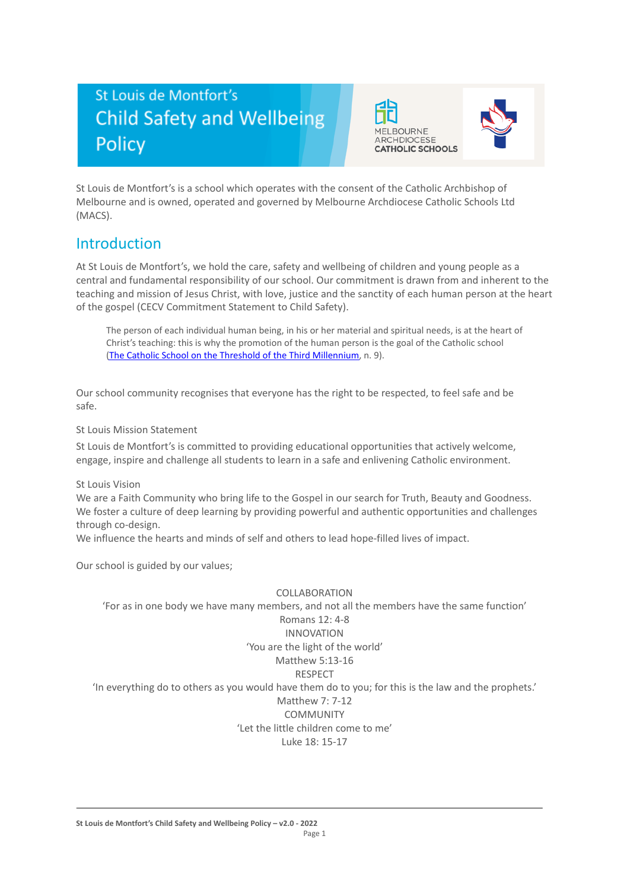# St Louis de Montfort's **Child Safety and Wellbeing** Policy





St Louis de Montfort's is a school which operates with the consent of the Catholic Archbishop of Melbourne and is owned, operated and governed by Melbourne Archdiocese Catholic Schools Ltd (MACS).

## Introduction

At St Louis de Montfort's, we hold the care, safety and wellbeing of children and young people as a central and fundamental responsibility of our school. Our commitment is drawn from and inherent to the teaching and mission of Jesus Christ, with love, justice and the sanctity of each human person at the heart of the gospel (CECV Commitment Statement to Child Safety).

The person of each individual human being, in his or her material and spiritual needs, is at the heart of Christ's teaching: this is why the promotion of the human person is the goal of the Catholic school (The Catholic School on the Threshold of the Third [Millennium,](http://www.vatican.va/roman_curia/congregations/ccatheduc/documents/rc_con_ccatheduc_doc_27041998_school2000_en.html) n. 9).

Our school community recognises that everyone has the right to be respected, to feel safe and be safe.

St Louis Mission Statement

St Louis de Montfort's is committed to providing educational opportunities that actively welcome, engage, inspire and challenge all students to learn in a safe and enlivening Catholic environment.

St Louis Vision

We are a Faith Community who bring life to the Gospel in our search for Truth, Beauty and Goodness. We foster a culture of deep learning by providing powerful and authentic opportunities and challenges through co-design.

We influence the hearts and minds of self and others to lead hope-filled lives of impact.

Our school is guided by our values;

#### COLLABORATION

'For as in one body we have many members, and not all the members have the same function' Romans 12: 4-8 INNOVATION 'You are the light of the world' Matthew 5:13-16 RESPECT 'In everything do to others as you would have them do to you; for this is the law and the prophets.' Matthew 7: 7-12 **COMMUNITY** 'Let the little children come to me' Luke 18: 15-17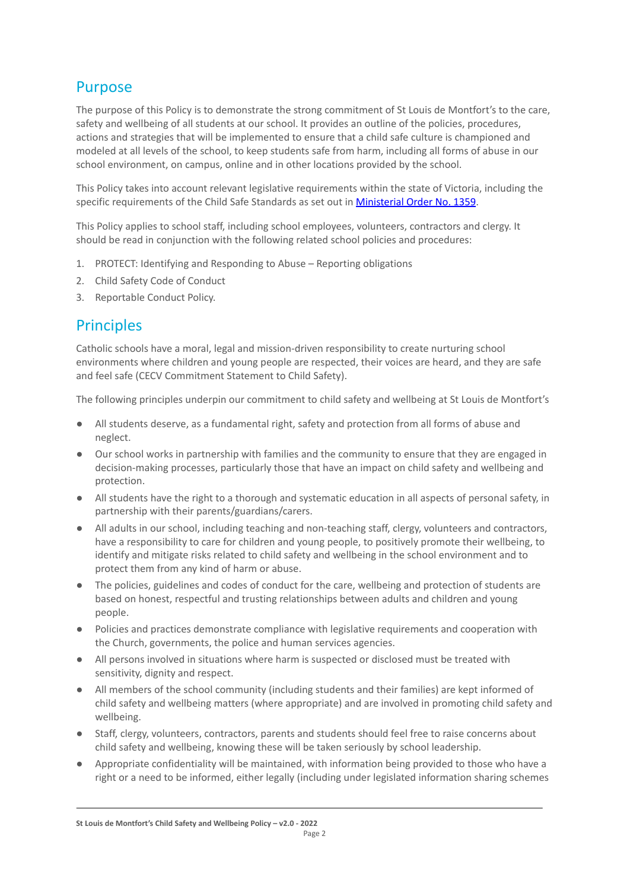# Purpose

The purpose of this Policy is to demonstrate the strong commitment of St Louis de Montfort's to the care, safety and wellbeing of all students at our school. It provides an outline of the policies, procedures, actions and strategies that will be implemented to ensure that a child safe culture is championed and modeled at all levels of the school, to keep students safe from harm, including all forms of abuse in our school environment, on campus, online and in other locations provided by the school.

This Policy takes into account relevant legislative requirements within the state of Victoria, including the specific requirements of the Child Safe Standards as set out in **[Ministerial Order No. 1359](https://www.vrqa.vic.gov.au/Documents/MinOrder1359childsafe.pdf)**.

This Policy applies to school staff, including school employees, volunteers, contractors and clergy. It should be read in conjunction with the following related school policies and procedures:

- 1. PROTECT: Identifying and Responding to Abuse Reporting obligations
- 2. Child Safety Code of Conduct
- 3. Reportable Conduct Policy.

## **Principles**

Catholic schools have a moral, legal and mission-driven responsibility to create nurturing school environments where children and young people are respected, their voices are heard, and they are safe and feel safe (CECV Commitment Statement to Child Safety).

The following principles underpin our commitment to child safety and wellbeing at St Louis de Montfort's

- All students deserve, as a fundamental right, safety and protection from all forms of abuse and neglect.
- Our school works in partnership with families and the community to ensure that they are engaged in decision-making processes, particularly those that have an impact on child safety and wellbeing and protection.
- All students have the right to a thorough and systematic education in all aspects of personal safety, in partnership with their parents/guardians/carers.
- All adults in our school, including teaching and non-teaching staff, clergy, volunteers and contractors, have a responsibility to care for children and young people, to positively promote their wellbeing, to identify and mitigate risks related to child safety and wellbeing in the school environment and to protect them from any kind of harm or abuse.
- The policies, guidelines and codes of conduct for the care, wellbeing and protection of students are based on honest, respectful and trusting relationships between adults and children and young people.
- Policies and practices demonstrate compliance with legislative requirements and cooperation with the Church, governments, the police and human services agencies.
- All persons involved in situations where harm is suspected or disclosed must be treated with sensitivity, dignity and respect.
- All members of the school community (including students and their families) are kept informed of child safety and wellbeing matters (where appropriate) and are involved in promoting child safety and wellbeing.
- Staff, clergy, volunteers, contractors, parents and students should feel free to raise concerns about child safety and wellbeing, knowing these will be taken seriously by school leadership.
- Appropriate confidentiality will be maintained, with information being provided to those who have a right or a need to be informed, either legally (including under legislated information sharing schemes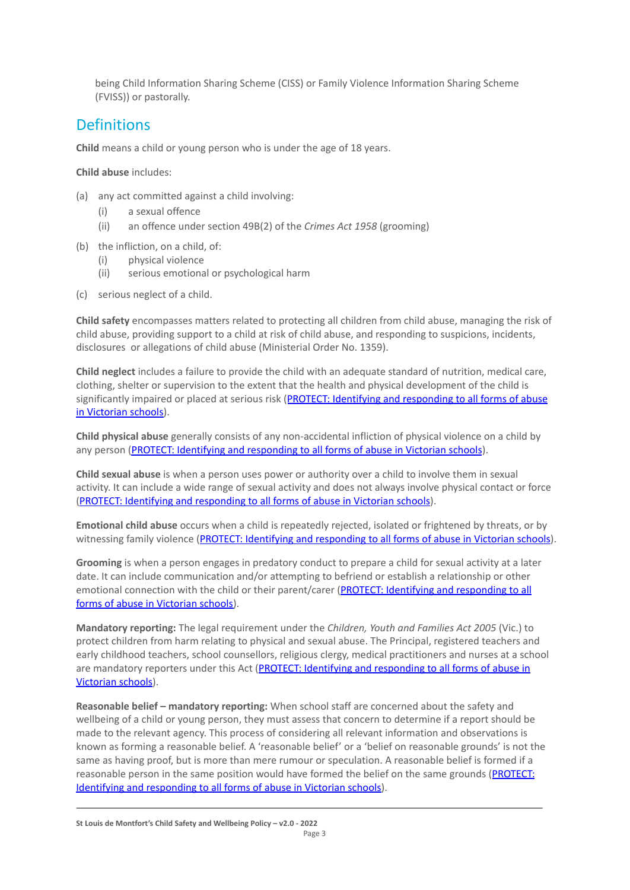being Child Information Sharing Scheme (CISS) or Family Violence Information Sharing Scheme (FVISS)) or pastorally.

## Definitions

**Child** means a child or young person who is under the age of 18 years.

**Child abuse** includes:

- (a) any act committed against a child involving:
	- (i) a sexual offence
	- (ii) an offence under section 49B(2) of the *Crimes Act 1958* (grooming)
- (b) the infliction, on a child, of:
	- (i) physical violence
	- (ii) serious emotional or psychological harm
- (c) serious neglect of a child.

**Child safety** encompasses matters related to protecting all children from child abuse, managing the risk of child abuse, providing support to a child at risk of child abuse, and responding to suspicions, incidents, disclosures or allegations of child abuse (Ministerial Order No. 1359).

**Child neglect** includes a failure to provide the child with an adequate standard of nutrition, medical care, clothing, shelter or supervision to the extent that the health and physical development of the child is significantly impaired or placed at serious risk (PROTECT: [Identifying and responding to all forms of abuse](http://www.cecv.catholic.edu.au/getmedia/ebe135a4-d1b3-48a0-81fe-50d4fc451bcd/Identifying-and-Responding-to-All-Forms-of-Abuse.aspx#page%3D27) [in Victorian schools\)](http://www.cecv.catholic.edu.au/getmedia/ebe135a4-d1b3-48a0-81fe-50d4fc451bcd/Identifying-and-Responding-to-All-Forms-of-Abuse.aspx#page%3D27).

**Child physical abuse** generally consists of any non-accidental infliction of physical violence on a child by any person [\(PROTECT: Identifying and responding to](https://www.cecv.catholic.edu.au/getmedia/ebe135a4-d1b3-48a0-81fe-50d4fc451bcd/Identifying-and-Responding-to-All-Forms-of-Abuse.aspx#page%3D15) all forms of abuse in Victorian schools).

**Child sexual abuse** is when a person uses power or authority over a child to involve them in sexual activity. It can include a wide range of sexual activity and does not always involve physical contact or force [\(PROTECT: Identifying and responding to all forms](https://www.cecv.catholic.edu.au/getmedia/ebe135a4-d1b3-48a0-81fe-50d4fc451bcd/Identifying-and-Responding-to-All-Forms-of-Abuse.aspx#page%3D17) of abuse in Victorian schools).

**Emotional child abuse** occurs when a child is repeatedly rejected, isolated or frightened by threats, or by witnessing family violence (PROTECT: Identifying and [responding to all forms of abuse in Victorian schools\)](https://www.cecv.catholic.edu.au/getmedia/ebe135a4-d1b3-48a0-81fe-50d4fc451bcd/Identifying-and-Responding-to-All-Forms-of-Abuse.aspx#page%3D26).

**Grooming** is when a person engages in predatory conduct to prepare a child for sexual activity at a later date. It can include communication and/or attempting to befriend or establish a relationship or other emotional connection with the child or their parent/carer [\(PROTECT: Identifying and responding to all](https://www.cecv.catholic.edu.au/getmedia/ebe135a4-d1b3-48a0-81fe-50d4fc451bcd/Identifying-and-Responding-to-All-Forms-of-Abuse.aspx#page%3D20) [forms of abuse in Victorian schools\)](https://www.cecv.catholic.edu.au/getmedia/ebe135a4-d1b3-48a0-81fe-50d4fc451bcd/Identifying-and-Responding-to-All-Forms-of-Abuse.aspx#page%3D20).

**Mandatory reporting:** The legal requirement under the *Children, Youth and Families Act 2005* (Vic.) to protect children from harm relating to physical and sexual abuse. The Principal, registered teachers and early childhood teachers, school counsellors, religious clergy, medical practitioners and nurses at a school are mandatory reporters under this Act (PROTECT: Identifying [and responding to all forms of abuse in](http://www.cecv.catholic.edu.au/getmedia/ebe135a4-d1b3-48a0-81fe-50d4fc451bcd/Identifying-and-Responding-to-All-Forms-of-Abuse.aspx#page%3D8) [Victorian schools](http://www.cecv.catholic.edu.au/getmedia/ebe135a4-d1b3-48a0-81fe-50d4fc451bcd/Identifying-and-Responding-to-All-Forms-of-Abuse.aspx#page%3D8)).

**Reasonable belief – mandatory reporting:** When school staff are concerned about the safety and wellbeing of a child or young person, they must assess that concern to determine if a report should be made to the relevant agency. This process of considering all relevant information and observations is known as forming a reasonable belief. A 'reasonable belief' or a 'belief on reasonable grounds' is not the same as having proof, but is more than mere rumour or speculation. A reasonable belief is formed if a reasonable person in the same position would have formed the belief on the same grounds ([PROTECT:](http://www.cecv.catholic.edu.au/getmedia/ebe135a4-d1b3-48a0-81fe-50d4fc451bcd/Identifying-and-Responding-to-All-Forms-of-Abuse.aspx#page%3D35) [Identifying and responding to all forms of abuse in Victorian schools\)](http://www.cecv.catholic.edu.au/getmedia/ebe135a4-d1b3-48a0-81fe-50d4fc451bcd/Identifying-and-Responding-to-All-Forms-of-Abuse.aspx#page%3D35).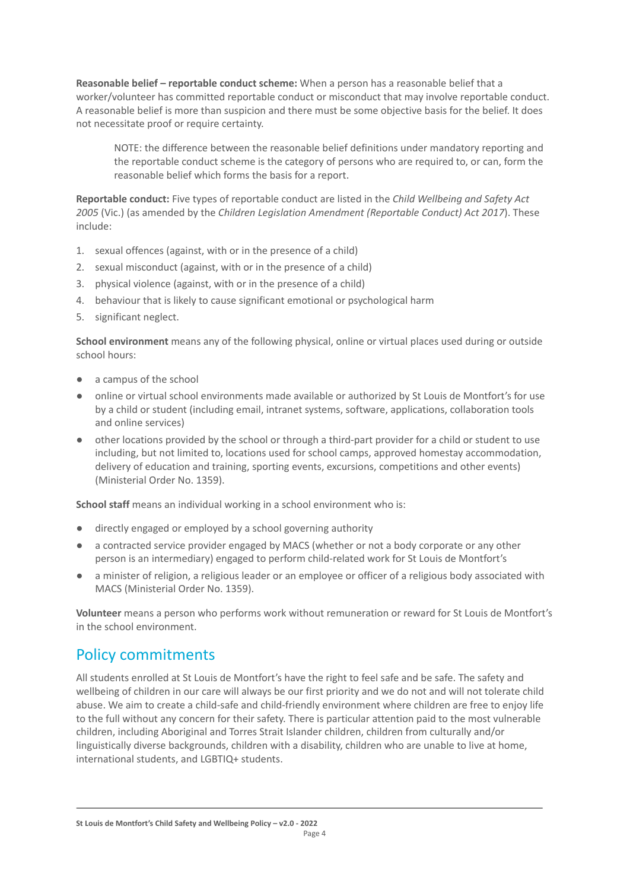**Reasonable belief – reportable conduct scheme:** When a person has a reasonable belief that a worker/volunteer has committed reportable conduct or misconduct that may involve reportable conduct. A reasonable belief is more than suspicion and there must be some objective basis for the belief. It does not necessitate proof or require certainty.

NOTE: the difference between the reasonable belief definitions under mandatory reporting and the reportable conduct scheme is the category of persons who are required to, or can, form the reasonable belief which forms the basis for a report.

**Reportable conduct:** Five types of reportable conduct are listed in the *Child Wellbeing and Safety Act 2005* (Vic.) (as amended by the *Children Legislation Amendment (Reportable Conduct) Act 2017*). These include:

- 1. sexual offences (against, with or in the presence of a child)
- 2. sexual misconduct (against, with or in the presence of a child)
- 3. physical violence (against, with or in the presence of a child)
- 4. behaviour that is likely to cause significant emotional or psychological harm
- 5. significant neglect.

**School environment** means any of the following physical, online or virtual places used during or outside school hours:

- a campus of the school
- online or virtual school environments made available or authorized by St Louis de Montfort's for use by a child or student (including email, intranet systems, software, applications, collaboration tools and online services)
- other locations provided by the school or through a third-part provider for a child or student to use including, but not limited to, locations used for school camps, approved homestay accommodation, delivery of education and training, sporting events, excursions, competitions and other events) (Ministerial Order No. 1359).

**School staff** means an individual working in a school environment who is:

- directly engaged or employed by a school governing authority
- a contracted service provider engaged by MACS (whether or not a body corporate or any other person is an intermediary) engaged to perform child-related work for St Louis de Montfort's
- a minister of religion, a religious leader or an employee or officer of a religious body associated with MACS (Ministerial Order No. 1359).

**Volunteer** means a person who performs work without remuneration or reward for St Louis de Montfort's in the school environment.

# Policy commitments

All students enrolled at St Louis de Montfort's have the right to feel safe and be safe. The safety and wellbeing of children in our care will always be our first priority and we do not and will not tolerate child abuse. We aim to create a child-safe and child-friendly environment where children are free to enjoy life to the full without any concern for their safety. There is particular attention paid to the most vulnerable children, including Aboriginal and Torres Strait Islander children, children from culturally and/or linguistically diverse backgrounds, children with a disability, children who are unable to live at home, international students, and LGBTIQ+ students.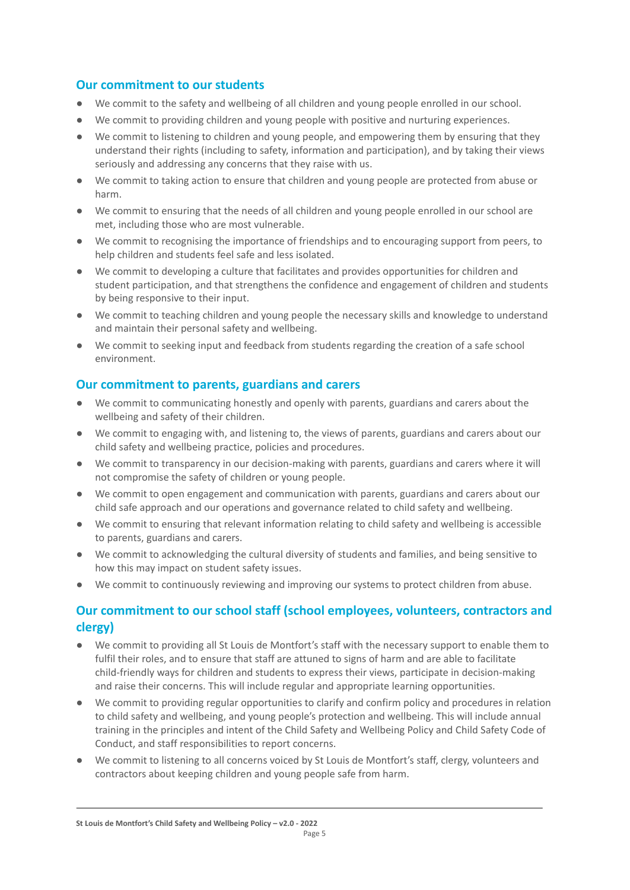### **Our commitment to our students**

- We commit to the safety and wellbeing of all children and young people enrolled in our school.
- We commit to providing children and young people with positive and nurturing experiences.
- We commit to listening to children and young people, and empowering them by ensuring that they understand their rights (including to safety, information and participation), and by taking their views seriously and addressing any concerns that they raise with us.
- We commit to taking action to ensure that children and young people are protected from abuse or harm.
- We commit to ensuring that the needs of all children and young people enrolled in our school are met, including those who are most vulnerable.
- We commit to recognising the importance of friendships and to encouraging support from peers, to help children and students feel safe and less isolated.
- We commit to developing a culture that facilitates and provides opportunities for children and student participation, and that strengthens the confidence and engagement of children and students by being responsive to their input.
- We commit to teaching children and young people the necessary skills and knowledge to understand and maintain their personal safety and wellbeing.
- We commit to seeking input and feedback from students regarding the creation of a safe school environment.

### **Our commitment to parents, guardians and carers**

- We commit to communicating honestly and openly with parents, guardians and carers about the wellbeing and safety of their children.
- We commit to engaging with, and listening to, the views of parents, guardians and carers about our child safety and wellbeing practice, policies and procedures.
- We commit to transparency in our decision-making with parents, guardians and carers where it will not compromise the safety of children or young people.
- We commit to open engagement and communication with parents, guardians and carers about our child safe approach and our operations and governance related to child safety and wellbeing.
- We commit to ensuring that relevant information relating to child safety and wellbeing is accessible to parents, guardians and carers.
- We commit to acknowledging the cultural diversity of students and families, and being sensitive to how this may impact on student safety issues.
- We commit to continuously reviewing and improving our systems to protect children from abuse.

## **Our commitment to our school staff (school employees, volunteers, contractors and clergy)**

- We commit to providing all St Louis de Montfort's staff with the necessary support to enable them to fulfil their roles, and to ensure that staff are attuned to signs of harm and are able to facilitate child-friendly ways for children and students to express their views, participate in decision-making and raise their concerns. This will include regular and appropriate learning opportunities.
- We commit to providing regular opportunities to clarify and confirm policy and procedures in relation to child safety and wellbeing, and young people's protection and wellbeing. This will include annual training in the principles and intent of the Child Safety and Wellbeing Policy and Child Safety Code of Conduct, and staff responsibilities to report concerns.
- We commit to listening to all concerns voiced by St Louis de Montfort's staff, clergy, volunteers and contractors about keeping children and young people safe from harm.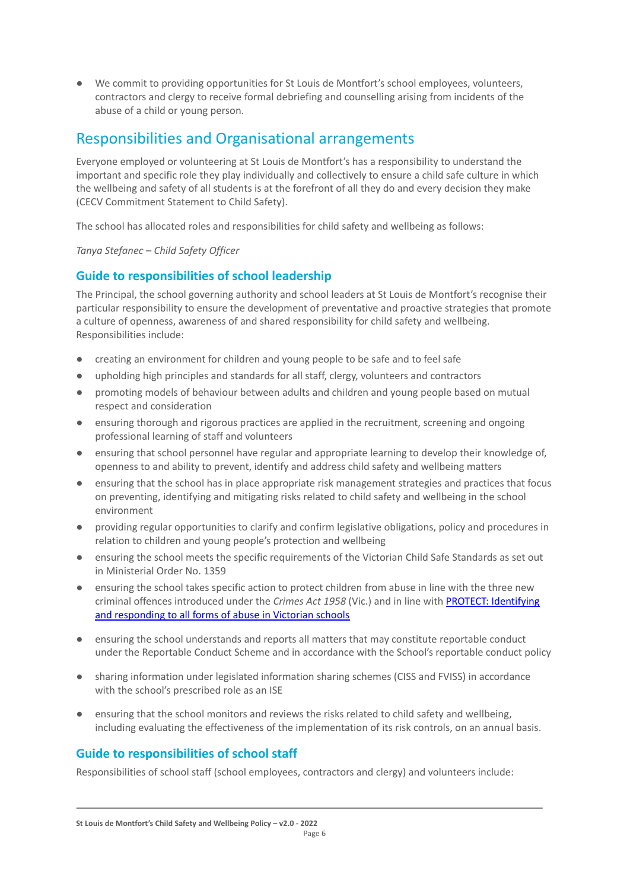● We commit to providing opportunities for St Louis de Montfort's school employees, volunteers, contractors and clergy to receive formal debriefing and counselling arising from incidents of the abuse of a child or young person.

## Responsibilities and Organisational arrangements

Everyone employed or volunteering at St Louis de Montfort's has a responsibility to understand the important and specific role they play individually and collectively to ensure a child safe culture in which the wellbeing and safety of all students is at the forefront of all they do and every decision they make (CECV Commitment Statement to Child Safety).

The school has allocated roles and responsibilities for child safety and wellbeing as follows:

*Tanya Stefanec – Child Safety Officer*

### **Guide to responsibilities of school leadership**

The Principal, the school governing authority and school leaders at St Louis de Montfort's recognise their particular responsibility to ensure the development of preventative and proactive strategies that promote a culture of openness, awareness of and shared responsibility for child safety and wellbeing. Responsibilities include:

- creating an environment for children and young people to be safe and to feel safe
- upholding high principles and standards for all staff, clergy, volunteers and contractors
- promoting models of behaviour between adults and children and young people based on mutual respect and consideration
- ensuring thorough and rigorous practices are applied in the recruitment, screening and ongoing professional learning of staff and volunteers
- ensuring that school personnel have regular and appropriate learning to develop their knowledge of, openness to and ability to prevent, identify and address child safety and wellbeing matters
- ensuring that the school has in place appropriate risk management strategies and practices that focus on preventing, identifying and mitigating risks related to child safety and wellbeing in the school environment
- providing regular opportunities to clarify and confirm legislative obligations, policy and procedures in relation to children and young people's protection and wellbeing
- ensuring the school meets the specific requirements of the Victorian Child Safe Standards as set out in Ministerial Order No. 1359
- ensuring the school takes specific action to protect children from abuse in line with the three new criminal offences introduced under the *Crimes Act 1958* (Vic.) and in line with [PROTECT: Identifying](http://www.cecv.catholic.edu.au/getmedia/ebe135a4-d1b3-48a0-81fe-50d4fc451bcd/Identifying-and-Responding-to-All-Forms-of-Abuse.aspx) [and responding to all forms of abuse in Victorian schools](http://www.cecv.catholic.edu.au/getmedia/ebe135a4-d1b3-48a0-81fe-50d4fc451bcd/Identifying-and-Responding-to-All-Forms-of-Abuse.aspx)
- ensuring the school understands and reports all matters that may constitute reportable conduct under the Reportable Conduct Scheme and in accordance with the School's reportable conduct policy
- sharing information under legislated information sharing schemes (CISS and FVISS) in accordance with the school's prescribed role as an ISE
- ensuring that the school monitors and reviews the risks related to child safety and wellbeing, including evaluating the effectiveness of the implementation of its risk controls, on an annual basis.

### **Guide to responsibilities of school staff**

Responsibilities of school staff (school employees, contractors and clergy) and volunteers include: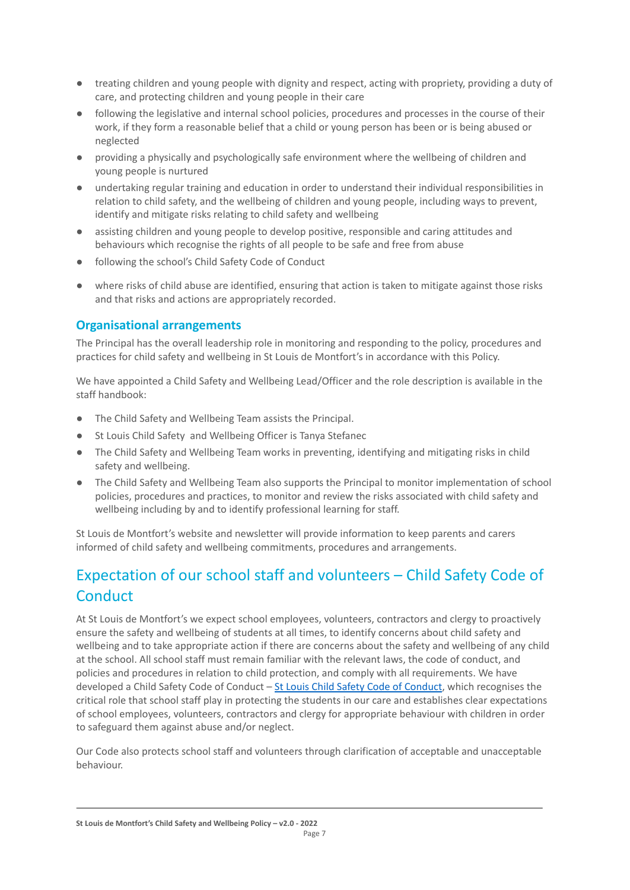- treating children and young people with dignity and respect, acting with propriety, providing a duty of care, and protecting children and young people in their care
- following the legislative and internal school policies, procedures and processes in the course of their work, if they form a reasonable belief that a child or young person has been or is being abused or neglected
- providing a physically and psychologically safe environment where the wellbeing of children and young people is nurtured
- undertaking regular training and education in order to understand their individual responsibilities in relation to child safety, and the wellbeing of children and young people, including ways to prevent, identify and mitigate risks relating to child safety and wellbeing
- assisting children and young people to develop positive, responsible and caring attitudes and behaviours which recognise the rights of all people to be safe and free from abuse
- following the school's Child Safety Code of Conduct
- where risks of child abuse are identified, ensuring that action is taken to mitigate against those risks and that risks and actions are appropriately recorded.

## **Organisational arrangements**

The Principal has the overall leadership role in monitoring and responding to the policy, procedures and practices for child safety and wellbeing in St Louis de Montfort's in accordance with this Policy.

We have appointed a Child Safety and Wellbeing Lead/Officer and the role description is available in the staff handbook:

- The Child Safety and Wellbeing Team assists the Principal.
- St Louis Child Safety and Wellbeing Officer is Tanya Stefanec
- The Child Safety and Wellbeing Team works in preventing, identifying and mitigating risks in child safety and wellbeing.
- The Child Safety and Wellbeing Team also supports the Principal to monitor implementation of school policies, procedures and practices, to monitor and review the risks associated with child safety and wellbeing including by and to identify professional learning for staff.

St Louis de Montfort's website and newsletter will provide information to keep parents and carers informed of child safety and wellbeing commitments, procedures and arrangements.

# Expectation of our school staff and volunteers – Child Safety Code of **Conduct**

At St Louis de Montfort's we expect school employees, volunteers, contractors and clergy to proactively ensure the safety and wellbeing of students at all times, to identify concerns about child safety and wellbeing and to take appropriate action if there are concerns about the safety and wellbeing of any child at the school. All school staff must remain familiar with the relevant laws, the code of conduct, and policies and procedures in relation to child protection, and comply with all requirements. We have developed a [Child Safety Code of Conduct](https://www.stlouisaspendale.catholic.edu.au/_files/ugd/fde87a_04daf9cd21a64574abd300710c0f8520.pdf) - St Louis Child Safety Code of Conduct, which recognises the critical role that school staff play in protecting the students in our care and establishes clear expectations of school employees, volunteers, contractors and clergy for appropriate behaviour with children in order to safeguard them against abuse and/or neglect.

Our Code also protects school staff and volunteers through clarification of acceptable and unacceptable behaviour.

**St Louis de Montfort's Child Safety and Wellbeing Policy – v2.0 - 2022**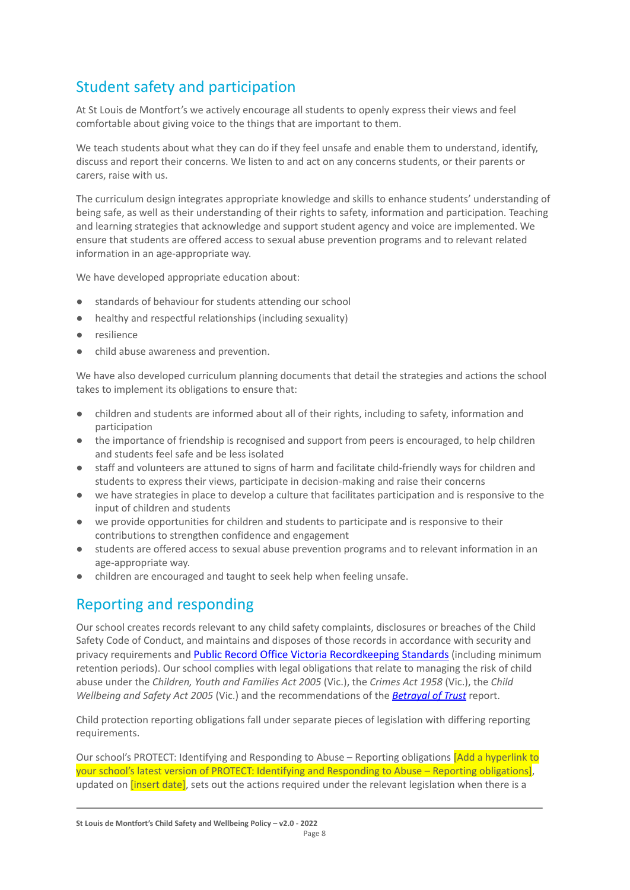# Student safety and participation

At St Louis de Montfort's we actively encourage all students to openly express their views and feel comfortable about giving voice to the things that are important to them.

We teach students about what they can do if they feel unsafe and enable them to understand, identify, discuss and report their concerns. We listen to and act on any concerns students, or their parents or carers, raise with us.

The curriculum design integrates appropriate knowledge and skills to enhance students' understanding of being safe, as well as their understanding of their rights to safety, information and participation. Teaching and learning strategies that acknowledge and support student agency and voice are implemented. We ensure that students are offered access to sexual abuse prevention programs and to relevant related information in an age-appropriate way.

We have developed appropriate education about:

- standards of behaviour for students attending our school
- healthy and respectful relationships (including sexuality)
- resilience
- child abuse awareness and prevention.

We have also developed curriculum planning documents that detail the strategies and actions the school takes to implement its obligations to ensure that:

- children and students are informed about all of their rights, including to safety, information and participation
- the importance of friendship is recognised and support from peers is encouraged, to help children and students feel safe and be less isolated
- staff and volunteers are attuned to signs of harm and facilitate child-friendly ways for children and students to express their views, participate in decision-making and raise their concerns
- we have strategies in place to develop a culture that facilitates participation and is responsive to the input of children and students
- we provide opportunities for children and students to participate and is responsive to their contributions to strengthen confidence and engagement
- students are offered access to sexual abuse prevention programs and to relevant information in an age-appropriate way.
- children are encouraged and taught to seek help when feeling unsafe.

## Reporting and responding

Our school creates records relevant to any child safety complaints, disclosures or breaches of the Child Safety Code of Conduct, and maintains and disposes of those records in accordance with security and privacy requirements and Public Record Office Victoria [Recordkeeping](https://prov.vic.gov.au/sites/default/files/files/documents/1906v1.0.pdf) Standards (including minimum retention periods). Our school complies with legal obligations that relate to managing the risk of child abuse under the *Children, Youth and Families Act 2005* (Vic.), the *Crimes Act 1958* (Vic.), the *Child Wellbeing and Safety Act 2005* (Vic.) and the recommendations of the *[Betrayal of Trust](http://www.parliament.vic.gov.au/fcdc/article/1788)* report.

Child protection reporting obligations fall under separate pieces of legislation with differing reporting requirements.

Our school's PROTECT: Identifying and Responding to Abuse – Reporting obligations *[Add a hyperlink to* your school's latest version of PROTECT: Identifying and Responding to Abuse – Reporting obligations], updated on *linsert datel*, sets out the actions required under the relevant legislation when there is a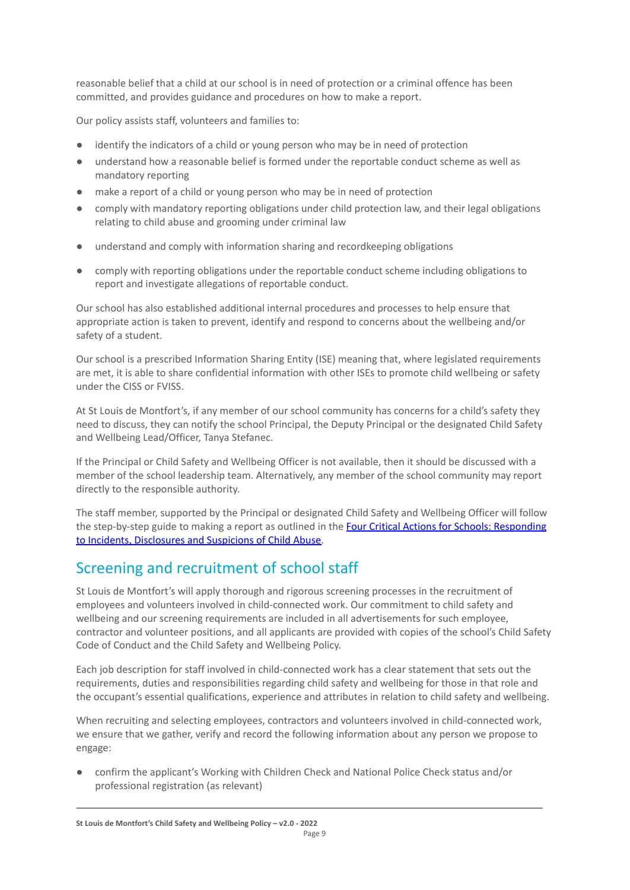reasonable belief that a child at our school is in need of protection or a criminal offence has been committed, and provides guidance and procedures on how to make a report.

Our policy assists staff, volunteers and families to:

- identify the indicators of a child or young person who may be in need of protection
- understand how a reasonable belief is formed under the reportable conduct scheme as well as mandatory reporting
- make a report of a child or young person who may be in need of protection
- comply with mandatory reporting obligations under child protection law, and their legal obligations relating to child abuse and grooming under criminal law
- understand and comply with information sharing and recordkeeping obligations
- comply with reporting obligations under the reportable conduct scheme including obligations to report and investigate allegations of reportable conduct.

Our school has also established additional internal procedures and processes to help ensure that appropriate action is taken to prevent, identify and respond to concerns about the wellbeing and/or safety of a student.

Our school is a prescribed Information Sharing Entity (ISE) meaning that, where legislated requirements are met, it is able to share confidential information with other ISEs to promote child wellbeing or safety under the CISS or FVISS.

At St Louis de Montfort's, if any member of our school community has concerns for a child's safety they need to discuss, they can notify the school Principal, the Deputy Principal or the designated Child Safety and Wellbeing Lead/Officer, Tanya Stefanec.

If the Principal or Child Safety and Wellbeing Officer is not available, then it should be discussed with a member of the school leadership team. Alternatively, any member of the school community may report directly to the responsible authority.

The staff member, supported by the Principal or designated Child Safety and Wellbeing Officer will follow the step-by-step guide to making a report as outlined in the **[Four Critical Actions for Schools: Responding](https://www.education.vic.gov.au/Documents/about/programs/health/protect/FourCriticalActions_ChildAbuse.pdf)** [to Incidents, Disclosures and Suspicions of Child Abuse.](https://www.education.vic.gov.au/Documents/about/programs/health/protect/FourCriticalActions_ChildAbuse.pdf)

# Screening and recruitment of school staff

St Louis de Montfort's will apply thorough and rigorous screening processes in the recruitment of employees and volunteers involved in child-connected work. Our commitment to child safety and wellbeing and our screening requirements are included in all advertisements for such employee, contractor and volunteer positions, and all applicants are provided with copies of the school's Child Safety Code of Conduct and the Child Safety and Wellbeing Policy.

Each job description for staff involved in child-connected work has a clear statement that sets out the requirements, duties and responsibilities regarding child safety and wellbeing for those in that role and the occupant's essential qualifications, experience and attributes in relation to child safety and wellbeing.

When recruiting and selecting employees, contractors and volunteers involved in child-connected work, we ensure that we gather, verify and record the following information about any person we propose to engage:

● confirm the applicant's Working with Children Check and National Police Check status and/or professional registration (as relevant)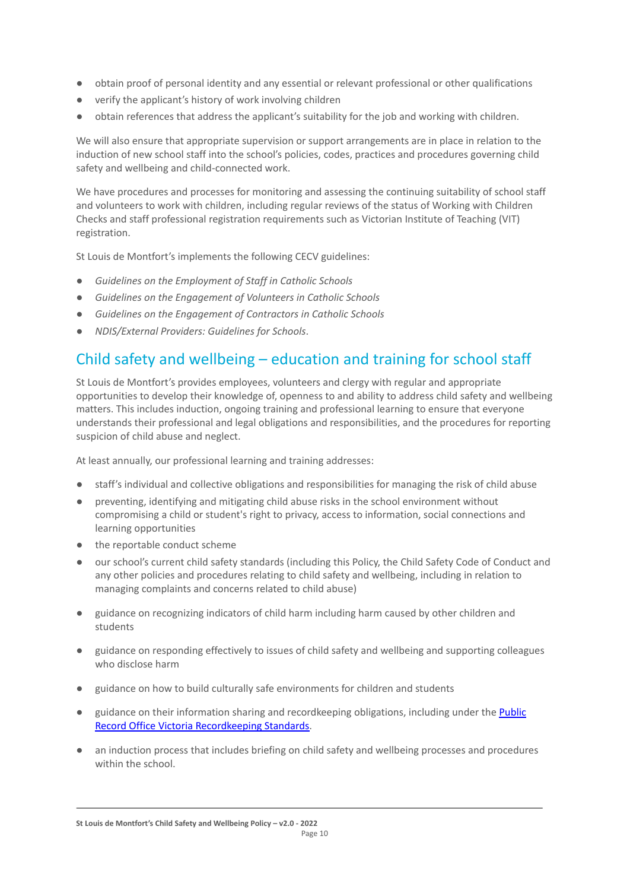- obtain proof of personal identity and any essential or relevant professional or other qualifications
- verify the applicant's history of work involving children
- obtain references that address the applicant's suitability for the job and working with children.

We will also ensure that appropriate supervision or support arrangements are in place in relation to the induction of new school staff into the school's policies, codes, practices and procedures governing child safety and wellbeing and child-connected work.

We have procedures and processes for monitoring and assessing the continuing suitability of school staff and volunteers to work with children, including regular reviews of the status of Working with Children Checks and staff professional registration requirements such as Victorian Institute of Teaching (VIT) registration.

St Louis de Montfort's implements the following CECV guidelines:

- *● Guidelines on the Employment of Staff in Catholic Schools*
- *● Guidelines on the Engagement of Volunteers in Catholic Schools*
- *● Guidelines on the Engagement of Contractors in Catholic Schools*
- *NDIS/External Providers: Guidelines for Schools*.

# Child safety and wellbeing – education and training for school staff

St Louis de Montfort's provides employees, volunteers and clergy with regular and appropriate opportunities to develop their knowledge of, openness to and ability to address child safety and wellbeing matters. This includes induction, ongoing training and professional learning to ensure that everyone understands their professional and legal obligations and responsibilities, and the procedures for reporting suspicion of child abuse and neglect.

At least annually, our professional learning and training addresses:

- staff's individual and collective obligations and responsibilities for managing the risk of child abuse
- preventing, identifying and mitigating child abuse risks in the school environment without compromising a child or student's right to privacy, access to information, social connections and learning opportunities
- the reportable conduct scheme
- our school's current child safety standards (including this Policy, the Child Safety Code of Conduct and any other policies and procedures relating to child safety and wellbeing, including in relation to managing complaints and concerns related to child abuse)
- guidance on recognizing indicators of child harm including harm caused by other children and students
- guidance on responding effectively to issues of child safety and wellbeing and supporting colleagues who disclose harm
- guidance on how to build culturally safe environments for children and students
- guidance on their information sharing and recordkeeping obligations, including under the **[Public](https://prov.vic.gov.au/sites/default/files/files/documents/1906v1.0.pdf)** [Record Office Victoria Recordkeeping Standards.](https://prov.vic.gov.au/sites/default/files/files/documents/1906v1.0.pdf)
- an induction process that includes briefing on child safety and wellbeing processes and procedures within the school.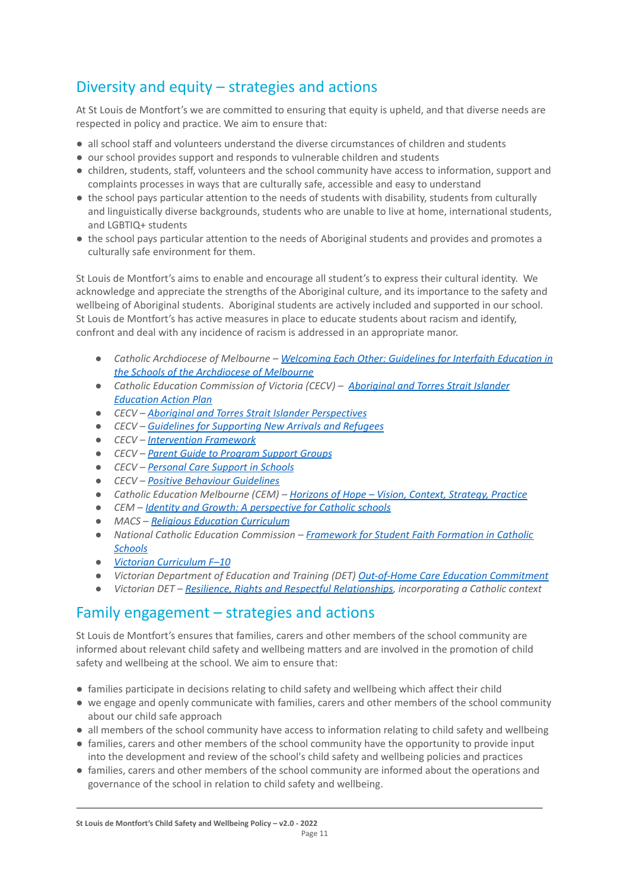# Diversity and equity – strategies and actions

At St Louis de Montfort's we are committed to ensuring that equity is upheld, and that diverse needs are respected in policy and practice. We aim to ensure that:

- all school staff and volunteers understand the diverse circumstances of children and students
- our school provides support and responds to vulnerable children and students
- children, students, staff, volunteers and the school community have access to information, support and complaints processes in ways that are culturally safe, accessible and easy to understand
- the school pays particular attention to the needs of students with disability, students from culturally and linguistically diverse backgrounds, students who are unable to live at home, international students, and LGBTIQ+ students
- the school pays particular attention to the needs of Aboriginal students and provides and promotes a culturally safe environment for them.

St Louis de Montfort's aims to enable and encourage all student's to express their cultural identity. We acknowledge and appreciate the strengths of the Aboriginal culture, and its importance to the safety and wellbeing of Aboriginal students. Aboriginal students are actively included and supported in our school. St Louis de Montfort's has active measures in place to educate students about racism and identify, confront and deal with any incidence of racism is addressed in an appropriate manor.

- *● Catholic Archdiocese of Melbourne – Welcoming Each [Other: Guidelines for Interfaith Education in](http://www.cam1.org.au/eic/welcoming/index.html) [the Schools of the Archdiocese of Melbourne](http://www.cam1.org.au/eic/welcoming/index.html)*
- *● Catholic Education Commission of Victoria (CECV) – [Aboriginal and Torres Strait Islander](https://www.cecv.catholic.edu.au/getmedia/bd494d6a-2d58-4f9b-94a2-85f3ab75e7ea/CECV-Aboriginal-and-Torres-Strait-Islander-Education-Action-Plan.aspx?ext=.pdf) [Education Action Plan](https://www.cecv.catholic.edu.au/getmedia/bd494d6a-2d58-4f9b-94a2-85f3ab75e7ea/CECV-Aboriginal-and-Torres-Strait-Islander-Education-Action-Plan.aspx?ext=.pdf)*
- *● CECV – [Aboriginal and Torres Strait Islander Perspectives](https://cevn.cecv.catholic.edu.au/Melb/Student-Support/Cultural-Diversity/ATSI-perspectives)*
- *● CECV – [Guidelines for Supporting New Arrivals and](https://www.cecv.catholic.edu.au/getmedia/b1a8935d-5f90-45e6-bb28-828e23c83366/CECV-Guidelines-for-New-Arrivals-and-Refugees-2020-2022.aspx?ext=.pdf) Refugees*
- *● CECV – [Intervention Framework](https://www.cecv.catholic.edu.au/getmedia/757e80aa-1c1a-4510-8d8a-f1ca72a92adb/CECV-Intervention-Framework-2021-overview.aspx?ext=.pdf)*
- *● CECV – [Parent Guide to Program Support Groups](https://www.cecv.catholic.edu.au/getmedia/8067c3e8-72f0-402c-9b78-60450b06c689/Parent-Guide-to-Program-Support-Groups.aspx?ext=.pdf)*
- *● CECV – [Personal Care Support in Schools](https://www.cecv.catholic.edu.au/getmedia/56a1892e-fc3f-45f8-b057-daa8dd462dfd/CECV-Personal-Care-Support-in-Schools.aspx?ext=.pdf)*
- *● CECV – [Positive Behaviour Guidelines](https://www.cecv.catholic.edu.au/getmedia/bc1d235d-9a98-4bb4-b3ac-84b50fa7c639/CECV-Positive-Behaviour-Guidelines_FINAL2.aspx?ext=.pdf)*
- *● Catholic Education Melbourne (CEM) – Horizons of Hope  [Vision, Context, Strategy, Practice](https://cevn.cecv.catholic.edu.au/Melb/Curriculum/Horizons-of-Hope)*
- *● CEM – [Identity and Growth: A perspective for Catholic](https://cevn.cecv.catholic.edu.au/Melb/MI/Identity-Growth) schools*
- *● MACS – [Religious Education Curriculum](https://resource-macs.com/)*
- *● National Catholic Education Commission – Framework for [Student Faith Formation in Catholic](https://www.ncec.catholic.edu.au/doclink/student-faith-formation-in-catholic-schools-february-2022/eyJ0eXAiOiJKV1QiLCJhbGciOiJIUzI1NiJ9.eyJzdWIiOiJzdHVkZW50LWZhaXRoLWZvcm1hdGlvbi1pbi1jYXRob2xpYy1zY2hvb2xzLWZlYnJ1YXJ5LTIwMjIiLCJpYXQiOjE2NDQyNzM3NTYsImV4cCI6MTY0NDM2MDE1Nn0.jGLDyhU7PGuIaDiSI4Pv5ODo78qVCxDaI9e5o0m7CVg) [Schools](https://www.ncec.catholic.edu.au/doclink/student-faith-formation-in-catholic-schools-february-2022/eyJ0eXAiOiJKV1QiLCJhbGciOiJIUzI1NiJ9.eyJzdWIiOiJzdHVkZW50LWZhaXRoLWZvcm1hdGlvbi1pbi1jYXRob2xpYy1zY2hvb2xzLWZlYnJ1YXJ5LTIwMjIiLCJpYXQiOjE2NDQyNzM3NTYsImV4cCI6MTY0NDM2MDE1Nn0.jGLDyhU7PGuIaDiSI4Pv5ODo78qVCxDaI9e5o0m7CVg)*
- *● [Victorian Curriculum F–10](https://victoriancurriculum.vcaa.vic.edu.au/)*
- *● Victorian Department of Education and Training (DET) [Out-of-Home Care Education Commitment](https://www.cecv.catholic.edu.au/getmedia/11631bac-6208-4324-887e-0aca88189126/OoHC-Education-Commitment.aspx?ext=.pdf)*
- *● Victorian DET – [Resilience, Rights and Respectful](https://fuse.education.vic.gov.au/ResourcePackage/ByPin?pin=2JZX4R) Relationships, incorporating a Catholic context*

## Family engagement – strategies and actions

St Louis de Montfort's ensures that families, carers and other members of the school community are informed about relevant child safety and wellbeing matters and are involved in the promotion of child safety and wellbeing at the school. We aim to ensure that:

- families participate in decisions relating to child safety and wellbeing which affect their child
- we engage and openly communicate with families, carers and other members of the school community about our child safe approach
- all members of the school community have access to information relating to child safety and wellbeing
- families, carers and other members of the school community have the opportunity to provide input into the development and review of the school's child safety and wellbeing policies and practices
- families, carers and other members of the school community are informed about the operations and governance of the school in relation to child safety and wellbeing.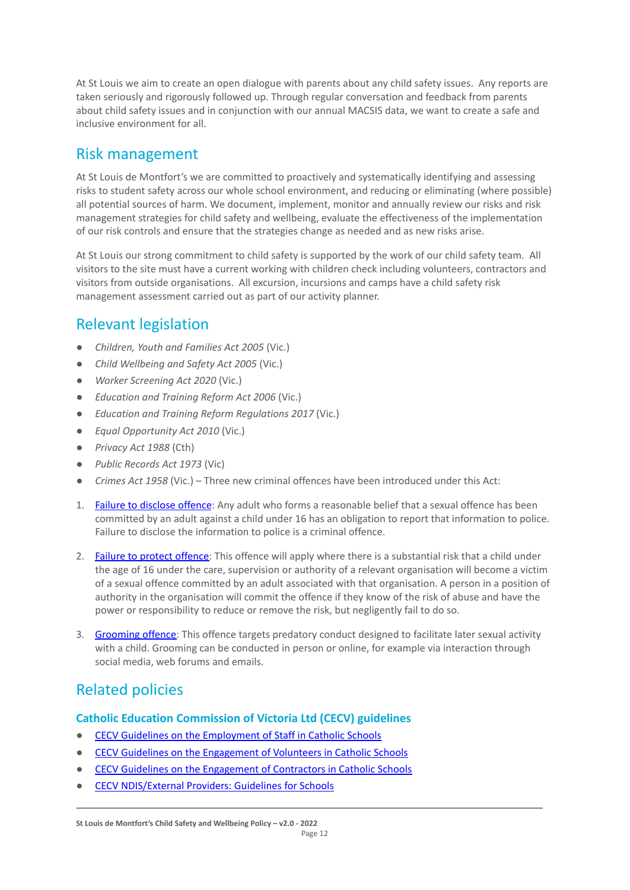At St Louis we aim to create an open dialogue with parents about any child safety issues. Any reports are taken seriously and rigorously followed up. Through regular conversation and feedback from parents about child safety issues and in conjunction with our annual MACSIS data, we want to create a safe and inclusive environment for all.

## Risk management

At St Louis de Montfort's we are committed to proactively and systematically identifying and assessing risks to student safety across our whole school environment, and reducing or eliminating (where possible) all potential sources of harm. We document, implement, monitor and annually review our risks and risk management strategies for child safety and wellbeing, evaluate the effectiveness of the implementation of our risk controls and ensure that the strategies change as needed and as new risks arise.

At St Louis our strong commitment to child safety is supported by the work of our child safety team. All visitors to the site must have a current working with children check including volunteers, contractors and visitors from outside organisations. All excursion, incursions and camps have a child safety risk management assessment carried out as part of our activity planner.

# Relevant legislation

- *Children, Youth and Families Act 2005* (Vic.)
- *Child Wellbeing and Safety Act 2005* (Vic.)
- *Worker Screening Act 2020* (Vic.)
- *Education and Training Reform Act 2006* (Vic.)
- *Education and Training Reform Regulations 2017* (Vic.)
- *Equal Opportunity Act 2010* (Vic.)
- *Privacy Act 1988* (Cth)
- *Public Records Act 1973* (Vic)
- *Crimes Act 1958* (Vic.) Three new criminal offences have been introduced under this Act:
- 1. [Failure to disclose offence](https://www.justice.vic.gov.au/safer-communities/protecting-children-and-families/failure-to-disclose-offence#%3A~%3Atext%3DIn%202014%2C%20the%20law%20in%20Victoria%20was%20changed%2Coffended%20against%20a%20child%20under%2016%20in%20Victoria): Any adult who forms a reasonable belief that a sexual offence has been committed by an adult against a child under 16 has an obligation to report that information to police. Failure to disclose the information to police is a criminal offence.
- 2. [Failure to protect offence:](https://www.justice.vic.gov.au/safer-communities/protecting-children-and-families/failure-to-protect-a-new-criminal-offence-to#%3A~%3Atext%3DFailure%20to%20protect%3A%20a%20new%20criminal%20offence%20to%2Cfrom%20sexual%20abuse%20and%20exposure%20to%20sexual%20offenders) This offence will apply where there is a substantial risk that a child under the age of 16 under the care, supervision or authority of a relevant organisation will become a victim of a sexual offence committed by an adult associated with that organisation. A person in a position of authority in the organisation will commit the offence if they know of the risk of abuse and have the power or responsibility to reduce or remove the risk, but negligently fail to do so.
- 3. [Grooming offence:](https://www.justice.vic.gov.au/safer-communities/protecting-children-and-families/grooming-offence) This offence targets predatory conduct designed to facilitate later sexual activity with a child. Grooming can be conducted in person or online, for example via interaction through social media, web forums and emails.

# Related policies

#### **Catholic Education Commission of Victoria Ltd (CECV) guidelines**

- [CECV Guidelines on the Employment of Staff in Catholic Schools](https://www.cecv.catholic.edu.au/getmedia/0393d7fb-2fb9-4e48-a05e-56b703dd62eb/Employment-Guidelines.aspx)
- [CECV Guidelines on the Engagement of Volunteers in Catholic Schools](https://www.cecv.catholic.edu.au/Media-Files/IR/Policies-Guidelines/Volunteers/Guidelines-on-the-Engagement-of-Volunteers.aspx)
- [CECV Guidelines on the Engagement of Contractors in Catholic Schools](https://www.cecv.catholic.edu.au/Media-Files/IR/Policies-Guidelines/Staff,-Contractors,-Volunteers/Contractor-Guidelines.aspx)
- [CECV NDIS/External Providers: Guidelines for Schools](https://www.cecv.catholic.edu.au/getmedia/cec12bdf-5e03-4d3a-ac47-504fe084f415/NDIS-External-Providers-Guidelines.aspx?ext=.pdf)